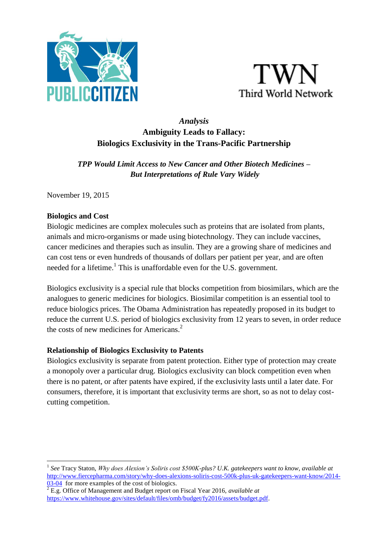



# *Analysis* **Ambiguity Leads to Fallacy: Biologics Exclusivity in the Trans-Pacific Partnership**

*TPP Would Limit Access to New Cancer and Other Biotech Medicines – But Interpretations of Rule Vary Widely*

November 19, 2015

#### **Biologics and Cost**

Biologic medicines are complex molecules such as proteins that are isolated from plants, animals and micro-organisms or made using biotechnology. They can include vaccines, cancer medicines and therapies such as insulin. They are a growing share of medicines and can cost tens or even hundreds of thousands of dollars per patient per year, and are often needed for a lifetime.<sup>1</sup> This is unaffordable even for the U.S. government.

Biologics exclusivity is a special rule that blocks competition from biosimilars, which are the analogues to generic medicines for biologics. Biosimilar competition is an essential tool to reduce biologics prices. The Obama Administration has repeatedly proposed in its budget to reduce the current U.S. period of biologics exclusivity from 12 years to seven, in order reduce the costs of new medicines for Americans.<sup>2</sup>

### **Relationship of Biologics Exclusivity to Patents**

Biologics exclusivity is separate from patent protection. Either type of protection may create a monopoly over a particular drug. Biologics exclusivity can block competition even when there is no patent, or after patents have expired, if the exclusivity lasts until a later date. For consumers, therefore, it is important that exclusivity terms are short, so as not to delay costcutting competition.

**<sup>.</sup>** 1 *See* Tracy Staton, *Why does Alexion's Soliris cost \$500K-plus? U.K. gatekeepers want to know*, *available at*  [http://www.fiercepharma.com/story/why-does-alexions-soliris-cost-500k-plus-uk-gatekeepers-want-know/2014-](http://www.fiercepharma.com/story/why-does-alexions-soliris-cost-500k-plus-uk-gatekeepers-want-know/2014-03-04) [03-04](http://www.fiercepharma.com/story/why-does-alexions-soliris-cost-500k-plus-uk-gatekeepers-want-know/2014-03-04) for more examples of the cost of biologics.

 $\sqrt[2]{\text{E.g.}}$  Office of Management and Budget report on Fiscal Year 2016, *available at* [https://www.whitehouse.gov/sites/default/files/omb/budget/fy2016/assets/budget.pdf.](https://www.whitehouse.gov/sites/default/files/omb/budget/fy2016/assets/budget.pdf)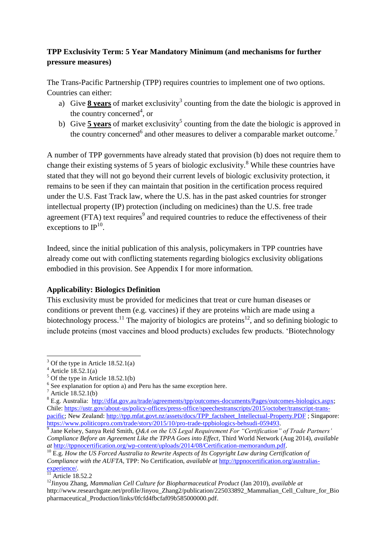# **TPP Exclusivity Term: 5 Year Mandatory Minimum (and mechanisms for further pressure measures)**

The Trans-Pacific Partnership (TPP) requires countries to implement one of two options. Countries can either:

- a) Give  $\frac{8 \text{ years}}{8 \text{ years}}$  of market exclusivity<sup>3</sup> counting from the date the biologic is approved in the country concerned<sup>4</sup>, or
- b) Give **5 years** of market exclusivity<sup>5</sup> counting from the date the biologic is approved in the country concerned<sup>6</sup> and other measures to deliver a comparable market outcome.<sup>7</sup>

A number of TPP governments have already stated that provision (b) does not require them to change their existing systems of 5 years of biologic exclusivity.<sup>8</sup> While these countries have stated that they will not go beyond their current levels of biologic exclusivity protection, it remains to be seen if they can maintain that position in the certification process required under the U.S. Fast Track law, where the U.S. has in the past asked countries for stronger intellectual property (IP) protection (including on medicines) than the U.S. free trade agreement (FTA) text requires $\degree$  and required countries to reduce the effectiveness of their exceptions to  $IP^{10}$ .

Indeed, since the initial publication of this analysis, policymakers in TPP countries have already come out with conflicting statements regarding biologics exclusivity obligations embodied in this provision. See Appendix I for more information.

# **Applicability: Biologics Definition**

This exclusivity must be provided for medicines that treat or cure human diseases or conditions or prevent them (e.g. vaccines) if they are proteins which are made using a biotechnology process.<sup>11</sup> The majority of biologics are proteins<sup>12</sup>, and so defining biologic to include proteins (most vaccines and blood products) excludes few products. 'Biotechnology

 $\overline{a}$ 

 $3$  Of the type in Article 18.52.1(a)

Article  $18.52.1(a)$ 

 $5$  Of the type in Article 18.52.1(b)

 $6$  See explanation for option a) and Peru has the same exception here.

<sup>7</sup> Article 18.52.1(b)

<sup>8</sup> E.g. Australia: [http://dfat.gov.au/trade/agreements/tpp/outcomes-documents/Pages/outcomes-biologics.aspx;](http://dfat.gov.au/trade/agreements/tpp/outcomes-documents/Pages/outcomes-biologics.aspx) Chile: [https://ustr.gov/about-us/policy-offices/press-office/speechestranscripts/2015/october/transcript-trans](https://ustr.gov/about-us/policy-offices/press-office/speechestranscripts/2015/october/transcript-trans-pacific)[pacific;](https://ustr.gov/about-us/policy-offices/press-office/speechestranscripts/2015/october/transcript-trans-pacific) New Zealand: [http://tpp.mfat.govt.nz/assets/docs/TPP\\_factsheet\\_Intellectual-Property.PDF](http://tpp.mfat.govt.nz/assets/docs/TPP_factsheet_Intellectual-Property.PDF) ; Singapore: [https://www.politicopro.com/trade/story/2015/10/pro-trade-tppbiologics-behsudi-059493.](https://www.politicopro.com/trade/story/2015/10/pro-trade-tppbiologics-behsudi-059493)

<sup>9</sup> Jane Kelsey, Sanya Reid Smith, *Q&A on the US Legal Requirement For "Certification" of Trade Partners' Compliance Before an Agreement Like the TPPA Goes into Effect*, Third World Network (Aug 2014), *available at* [http://tppnocertification.org/wp-content/uploads/2014/08/Certification-memorandum.pdf.](http://tppnocertification.org/wp-content/uploads/2014/08/Certification-memorandum.pdf)

<sup>10</sup> E.g. *How the US Forced Australia to Rewrite Aspects of Its Copyright Law during Certification of Compliance with the AUFTA*, TPP: No Certification, *available at* [http://tppnocertification.org/australias](http://tppnocertification.org/australias-experience/)[experience/.](http://tppnocertification.org/australias-experience/)

 $11$  Article 18.52.2

<sup>12</sup>Jinyou Zhang*, Mammalian Cell Culture for Biopharmaceutical Product* (Jan 2010), *available at* [http://www.researchgate.net/profile/Jinyou\\_Zhang2/publication/225033892\\_Mammalian\\_Cell\\_Culture\\_for\\_Bio](http://www.researchgate.net/profile/Jinyou_Zhang2/publication/225033892_Mammalian_Cell_Culture_for_Biopharmaceutical_Production/links/0fcfd4fbcfaf09b585000000.pdf) [pharmaceutical\\_Production/links/0fcfd4fbcfaf09b585000000.pdf.](http://www.researchgate.net/profile/Jinyou_Zhang2/publication/225033892_Mammalian_Cell_Culture_for_Biopharmaceutical_Production/links/0fcfd4fbcfaf09b585000000.pdf)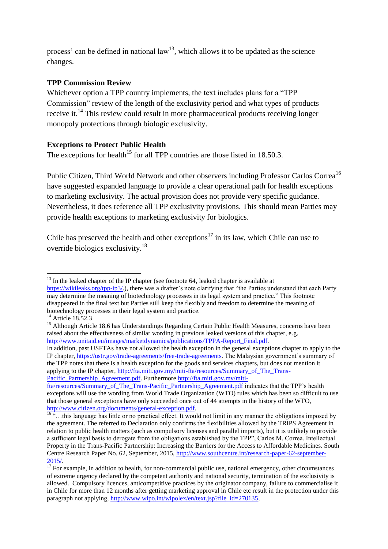process' can be defined in national  $law<sup>13</sup>$ , which allows it to be updated as the science changes.

### **TPP Commission Review**

Whichever option a TPP country implements, the text includes plans for a "TPP Commission" review of the length of the exclusivity period and what types of products receive it.<sup>14</sup> This review could result in more pharmaceutical products receiving longer monopoly protections through biologic exclusivity.

# **Exceptions to Protect Public Health**

The exceptions for health<sup>15</sup> for all TPP countries are those listed in 18.50.3.

Public Citizen, Third World Network and other observers including Professor Carlos Correa<sup>16</sup> have suggested expanded language to provide a clear operational path for health exceptions to marketing exclusivity. The actual provision does not provide very specific guidance. Nevertheless, it does reference all TPP exclusivity provisions. This should mean Parties may provide health exceptions to marketing exclusivity for biologics.

Chile has preserved the health and other exceptions<sup>17</sup> in its law, which Chile can use to override biologics exclusivity.<sup>18</sup>

In addition, past USFTAs have not allowed the health exception in the general exceptions chapter to apply to the IP chapter, [https://ustr.gov/trade-agreements/free-trade-agreements.](https://ustr.gov/trade-agreements/free-trade-agreements) The Malaysian government's summary of the TPP notes that there is a health exception for the goods and services chapters, but does not mention it applying to the IP chapter, [http://fta.miti.gov.my/miti-fta/resources/Summary\\_of\\_The\\_Trans-](http://fta.miti.gov.my/miti-fta/resources/Summary_of_The_Trans-Pacific_Partnership_Agreement.pdf)[Pacific\\_Partnership\\_Agreement.pdf.](http://fta.miti.gov.my/miti-fta/resources/Summary_of_The_Trans-Pacific_Partnership_Agreement.pdf) Furthermore [http://fta.miti.gov.my/miti-](http://fta.miti.gov.my/miti-fta/resources/Summary_of_The_Trans-Pacific_Partnership_Agreement.pdf)

**<sup>.</sup>**  $13$  In the leaked chapter of the IP chapter (see footnote 64, leaked chapter is available at [https://wikileaks.org/tpp-ip3/.\)](https://wikileaks.org/tpp-ip3/), there was a drafter's note clarifying that "the Parties understand that each Party may determine the meaning of biotechnology processes in its legal system and practice." This footnote disappeared in the final text but Parties still keep the flexibly and freedom to determine the meaning of biotechnology processes in their legal system and practice.

 $^{14}$  Article 18.52.3

<sup>&</sup>lt;sup>15</sup> Although Article 18.6 has Understandings Regarding Certain Public Health Measures, concerns have been raised about the effectiveness of similar wording in previous leaked versions of this chapter, e.g. [http://www.unitaid.eu/images/marketdynamics/publications/TPPA-Report\\_Final.pdf.](http://www.unitaid.eu/images/marketdynamics/publications/TPPA-Report_Final.pdf) 

[fta/resources/Summary\\_of\\_The\\_Trans-Pacific\\_Partnership\\_Agreement.pdf](http://fta.miti.gov.my/miti-fta/resources/Summary_of_The_Trans-Pacific_Partnership_Agreement.pdf) indicates that the TPP's health exceptions will use the wording from World Trade Organization (WTO) rules which has been so difficult to use that those general exceptions have only succeeded once out of 44 attempts in the history of the WTO, [http://www.citizen.org/documents/general-exception.pdf.](http://www.citizen.org/documents/general-exception.pdf)

<sup>16</sup> "…this language has little or no practical effect. It would not limit in any manner the obligations imposed by the agreement. The referred to Declaration only confirms the flexibilities allowed by the TRIPS Agreement in relation to public health matters (such as compulsory licenses and parallel imports), but it is unlikely to provide a sufficient legal basis to derogate from the obligations established by the TPP", Carlos M. Correa. Intellectual Property in the Trans-Pacific Partnership: Increasing the Barriers for the Access to Affordable Medicines. South Centre Research Paper No. 62, September, 2015, [http://www.southcentre.int/research-paper-62-september-](http://www.southcentre.int/research-paper-62-september-2015/)[2015/.](http://www.southcentre.int/research-paper-62-september-2015/)

 $\frac{17}{17}$  For example, in addition to health, for non-commercial public use, national emergency, other circumstances of extreme urgency declared by the competent authority and national security, termination of the exclusivity is allowed. Compulsory licences, anticompetitive practices by the originator company, failure to commercialise it in Chile for more than 12 months after getting marketing approval in Chile etc result in the protection under this paragraph not applying, [http://www.wipo.int/wipolex/en/text.jsp?file\\_id=270135,](http://www.wipo.int/wipolex/en/text.jsp?file_id=270135)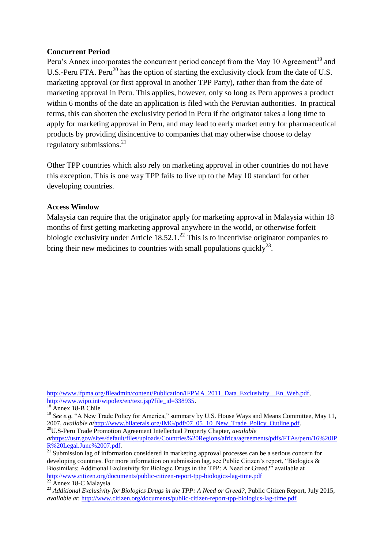#### **Concurrent Period**

Peru's Annex incorporates the concurrent period concept from the May 10 Agreement<sup>19</sup> and U.S.-Peru FTA. Peru<sup>20</sup> has the option of starting the exclusivity clock from the date of U.S. marketing approval (or first approval in another TPP Party), rather than from the date of marketing approval in Peru. This applies, however, only so long as Peru approves a product within 6 months of the date an application is filed with the Peruvian authorities. In practical terms, this can shorten the exclusivity period in Peru if the originator takes a long time to apply for marketing approval in Peru, and may lead to early market entry for pharmaceutical products by providing disincentive to companies that may otherwise choose to delay regulatory submissions.<sup>21</sup>

Other TPP countries which also rely on marketing approval in other countries do not have this exception. This is one way TPP fails to live up to the May 10 standard for other developing countries.

#### **Access Window**

Malaysia can require that the originator apply for marketing approval in Malaysia within 18 months of first getting marketing approval anywhere in the world, or otherwise forfeit biologic exclusivity under Article  $18.52.1<sup>22</sup>$  This is to incentivise originator companies to bring their new medicines to countries with small populations quickly<sup>23</sup>.

<sup>20</sup>U.S-Peru Trade Promotion Agreement Intellectual Property Chapter, *available at*[https://ustr.gov/sites/default/files/uploads/Countries%20Regions/africa/agreements/pdfs/FTAs/peru/16%20IP](https://exg6.exghost.com/owa/redir.aspx?SURL=6qeelH8wFXUqJLDN906je_S0SFkQX7E7xDu5cUYvZCXDuokmCvHSCGgAdAB0AHAAcwA6AC8ALwB1AHMAdAByAC4AZwBvAHYALwBzAGkAdABlAHMALwBkAGUAZgBhAHUAbAB0AC8AZgBpAGwAZQBzAC8AdQBwAGwAbwBhAGQAcwAvAEMAbwB1AG4AdAByAGkAZQBzACUAMgAwAFIAZQBnAGkAbwBuAHMALwBhAGYAcgBpAGMAYQAvAGEAZwByAGUAZQBtAGUAbgB0AHMALwBwAGQAZgBzAC8ARgBUAEEAcwAvAHAAZQByAHUALwAxADYAJQAyADAASQBQAFIAJQAyADAATABlAGcAYQBsAC4ASgB1AG4AZQAlADIAMAAwADcALgBwAGQAZgA.&URL=https%3a%2f%2fustr.gov%2fsites%2fdefault%2ffiles%2fuploads%2fCountries%2520Regions%2fafrica%2fagreements%2fpdfs%2fFTAs%2fperu%2f16%2520IPR%2520Legal.June%252007.pdf) [R%20Legal.June%2007.pdf.](https://exg6.exghost.com/owa/redir.aspx?SURL=6qeelH8wFXUqJLDN906je_S0SFkQX7E7xDu5cUYvZCXDuokmCvHSCGgAdAB0AHAAcwA6AC8ALwB1AHMAdAByAC4AZwBvAHYALwBzAGkAdABlAHMALwBkAGUAZgBhAHUAbAB0AC8AZgBpAGwAZQBzAC8AdQBwAGwAbwBhAGQAcwAvAEMAbwB1AG4AdAByAGkAZQBzACUAMgAwAFIAZQBnAGkAbwBuAHMALwBhAGYAcgBpAGMAYQAvAGEAZwByAGUAZQBtAGUAbgB0AHMALwBwAGQAZgBzAC8ARgBUAEEAcwAvAHAAZQByAHUALwAxADYAJQAyADAASQBQAFIAJQAyADAATABlAGcAYQBsAC4ASgB1AG4AZQAlADIAMAAwADcALgBwAGQAZgA.&URL=https%3a%2f%2fustr.gov%2fsites%2fdefault%2ffiles%2fuploads%2fCountries%2520Regions%2fafrica%2fagreements%2fpdfs%2fFTAs%2fperu%2f16%2520IPR%2520Legal.June%252007.pdf)

<sup>1</sup> http://www.ifpma.org/fileadmin/content/Publication/IFPMA\_2011\_Data\_Exclusivity\_En\_Web.pdf, [http://www.wipo.int/wipolex/en/text.jsp?file\\_id=338935.](http://www.wipo.int/wipolex/en/text.jsp?file_id=338935)

 $18$  Annex 18-B Chile

<sup>&</sup>lt;sup>19</sup> See e.g. "A New Trade Policy for America," summary by U.S. House Ways and Means Committee, May 11, 2007, *available at*[http://www.bilaterals.org/IMG/pdf/07\\_05\\_10\\_New\\_Trade\\_Policy\\_Outline.pdf.](https://exg6.exghost.com/owa/redir.aspx?SURL=x333IqEv5ZMl5jWaFwncCRjTzgxbaHPrNo3oXqrfIcLDuokmCvHSCGgAdAB0AHAAOgAvAC8AdwB3AHcALgBiAGkAbABhAHQAZQByAGEAbABzAC4AbwByAGcALwBJAE0ARwAvAHAAZABmAC8AMAA3AF8AMAA1AF8AMQAwAF8ATgBlAHcAXwBUAHIAYQBkAGUAXwBQAG8AbABpAGMAeQBfAE8AdQB0AGwAaQBuAGUALgBwAGQAZgA.&URL=http%3a%2f%2fwww.bilaterals.org%2fIMG%2fpdf%2f07_05_10_New_Trade_Policy_Outline.pdf)

 $\frac{21}{21}$  Submission lag of information considered in marketing approval processes can be a serious concern for developing countries. For more information on submission lag, see Public Citizen's report, "Biologics & Biosimilars: Additional Exclusivity for Biologic Drugs in the TPP: A Need or Greed?" available at <http://www.citizen.org/documents/public-citizen-report-tpp-biologics-lag-time.pdf>

<sup>&</sup>lt;sup>22</sup> Annex 18-C Malaysia

<sup>&</sup>lt;sup>23</sup> Additional Exclusivity for Biologics Drugs in the TPP: A Need or Greed?, Public Citizen Report, July 2015, *available at*: <http://www.citizen.org/documents/public-citizen-report-tpp-biologics-lag-time.pdf>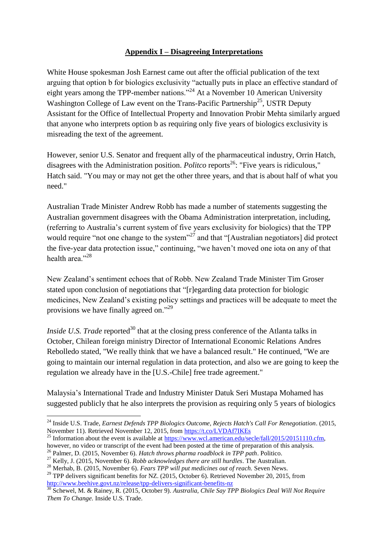#### **Appendix I – Disagreeing Interpretations**

White House spokesman Josh Earnest came out after the official publication of the text arguing that option b for biologics exclusivity "actually puts in place an effective standard of eight years among the TPP-member nations."<sup>24</sup> At a November 10 American University Washington College of Law event on the Trans-Pacific Partnership<sup>25</sup>, USTR Deputy Assistant for the Office of Intellectual Property and Innovation Probir Mehta similarly argued that anyone who interprets option b as requiring only five years of biologics exclusivity is misreading the text of the agreement.

However, senior U.S. Senator and frequent ally of the pharmaceutical industry, Orrin Hatch, disagrees with the Administration position. *Politco* reports<sup>26</sup>: "Five years is ridiculous," Hatch said. "You may or may not get the other three years, and that is about half of what you need."

Australian Trade Minister Andrew Robb has made a number of statements suggesting the Australian government disagrees with the Obama Administration interpretation, including, (referring to Australia's current system of five years exclusivity for biologics) that the TPP would require "not one change to the system"<sup>27</sup> and that "[Australian negotiators] did protect the five-year data protection issue," continuing, "we haven't moved one iota on any of that health area<sup>"28</sup>

New Zealand's sentiment echoes that of Robb. New Zealand Trade Minister Tim Groser stated upon conclusion of negotiations that "[r]egarding data protection for biologic medicines, New Zealand's existing policy settings and practices will be adequate to meet the provisions we have finally agreed on."<sup>29</sup>

*Inside U.S. Trade* reported<sup>30</sup> that at the closing press conference of the Atlanta talks in October, Chilean foreign ministry Director of International Economic Relations Andres Rebolledo stated, "We really think that we have a balanced result." He continued, "We are going to maintain our internal regulation in data protection, and also we are going to keep the regulation we already have in the [U.S.-Chile] free trade agreement."

Malaysia's International Trade and Industry Minister Datuk Seri Mustapa Mohamed has suggested publicly that he also interprets the provision as requiring only 5 years of biologics

<sup>25</sup> Information about the event is available at  $\frac{https://www.wcl.american.edu/secle/fall/2015/20151110.cfm}{https://www.wcl.american.edu/secle/fall/2015/20151110.cfm}$ however, no video or transcript of the event had been posted at the time of preparation of this analysis.

**<sup>.</sup>** <sup>24</sup> Inside U.S. Trade, *Earnest Defends TPP Biologics Outcome, Rejects Hatch's Call For Renegotiation*. (2015, November 11). Retrieved November 12, 2015, from<https://t.co/LVDAf7IKEs>

<sup>26</sup> Palmer, D. (2015, November 6). *Hatch throws pharma roadblock in TPP path*. Politico.

<sup>27</sup> Kelly, J. (2015, November 6). *Robb acknowledges there are still hurdles*. The Australian.

<sup>28</sup> Merhab, B. (2015, November 6). *Fears TPP will put medicines out of reach.* Seven News.

<sup>&</sup>lt;sup>29</sup> TPP delivers significant benefits for NZ. (2015, October 6). Retrieved November 20, 2015, from <http://www.beehive.govt.nz/release/tpp-delivers-significant-benefits-nz>

<sup>30</sup> Schewel, M. & Rainey, R. (2015, October 9). *Australia, Chile Say TPP Biologics Deal Will Not Require Them To Change.* Inside U.S. Trade.